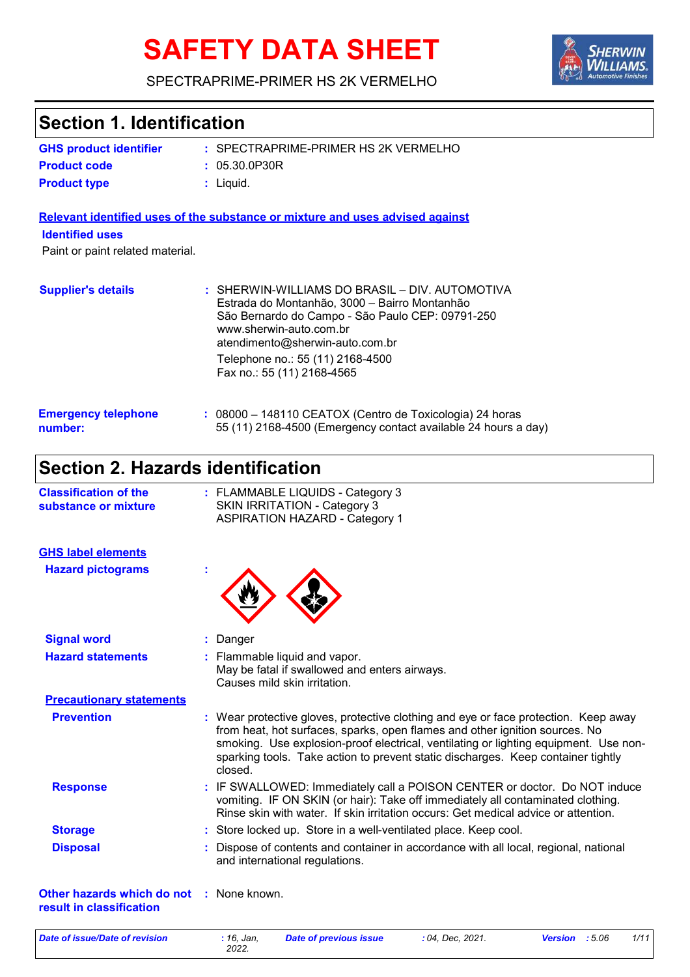# **SAFETY DATA SHEET**



#### SPECTRAPRIME-PRIMER HS 2K VERMELHO

| <b>GHS product identifier</b>                              | : SPECTRAPRIME-PRIMER HS 2K VERMELHO                                                                                                                                                                                                                                                                                                                      |
|------------------------------------------------------------|-----------------------------------------------------------------------------------------------------------------------------------------------------------------------------------------------------------------------------------------------------------------------------------------------------------------------------------------------------------|
| <b>Product code</b>                                        | : 05.30.0P30R                                                                                                                                                                                                                                                                                                                                             |
| <b>Product type</b>                                        | : Liquid.                                                                                                                                                                                                                                                                                                                                                 |
|                                                            | Relevant identified uses of the substance or mixture and uses advised against                                                                                                                                                                                                                                                                             |
| <b>Identified uses</b><br>Paint or paint related material. |                                                                                                                                                                                                                                                                                                                                                           |
| <b>Supplier's details</b>                                  | : SHERWIN-WILLIAMS DO BRASIL - DIV. AUTOMOTIVA<br>Estrada do Montanhão, 3000 - Bairro Montanhão<br>São Bernardo do Campo - São Paulo CEP: 09791-250<br>www.sherwin-auto.com.br<br>atendimento@sherwin-auto.com.br<br>Telephone no.: 55 (11) 2168-4500<br>Fax no.: 55 (11) 2168-4565                                                                       |
| <b>Emergency telephone</b><br>number:                      | : 08000 - 148110 CEATOX (Centro de Toxicologia) 24 horas<br>55 (11) 2168-4500 (Emergency contact available 24 hours a day)                                                                                                                                                                                                                                |
| <b>Section 2. Hazards identification</b>                   |                                                                                                                                                                                                                                                                                                                                                           |
| <b>Classification of the</b><br>substance or mixture       | : FLAMMABLE LIQUIDS - Category 3<br><b>SKIN IRRITATION - Category 3</b><br><b>ASPIRATION HAZARD - Category 1</b>                                                                                                                                                                                                                                          |
| <b>GHS label elements</b>                                  |                                                                                                                                                                                                                                                                                                                                                           |
| <b>Hazard pictograms</b>                                   |                                                                                                                                                                                                                                                                                                                                                           |
| <b>Signal word</b>                                         | : Danger                                                                                                                                                                                                                                                                                                                                                  |
| <b>Hazard statements</b>                                   | : Flammable liquid and vapor.<br>May be fatal if swallowed and enters airways.<br>Causes mild skin irritation.                                                                                                                                                                                                                                            |
| <b>Precautionary statements</b>                            |                                                                                                                                                                                                                                                                                                                                                           |
| <b>Prevention</b>                                          | : Wear protective gloves, protective clothing and eye or face protection. Keep away<br>from heat, hot surfaces, sparks, open flames and other ignition sources. No<br>smoking. Use explosion-proof electrical, ventilating or lighting equipment. Use non-<br>sparking tools. Take action to prevent static discharges. Keep container tightly<br>closed. |
| <b>Response</b>                                            | : IF SWALLOWED: Immediately call a POISON CENTER or doctor. Do NOT induce<br>vomiting. IF ON SKIN (or hair): Take off immediately all contaminated clothing.<br>Rinse skin with water. If skin irritation occurs: Get medical advice or attention.                                                                                                        |
| <b>Storage</b>                                             | : Store locked up. Store in a well-ventilated place. Keep cool.                                                                                                                                                                                                                                                                                           |
| <b>Disposal</b>                                            | : Dispose of contents and container in accordance with all local, regional, national<br>and international regulations.                                                                                                                                                                                                                                    |
| Other hazards which do not<br>result in classification     | : None known.                                                                                                                                                                                                                                                                                                                                             |

*Date of issue/Date of revision* **:** *16, Jan,*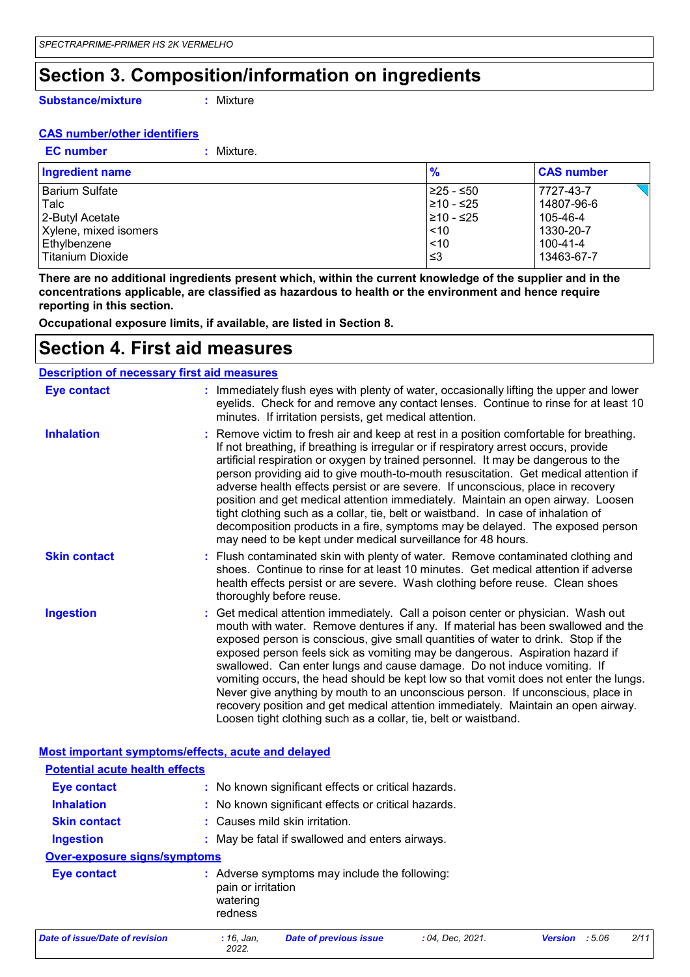### **Section 3. Composition/information on ingredients**

**Substance/mixture**

**:** Mixture

#### **CAS number/other identifiers**

**EC number :** Mixture.

| <b>Ingredient name</b> | $\frac{9}{6}$ | <b>CAS number</b> |
|------------------------|---------------|-------------------|
| Barium Sulfate         | l≥25 - ≤50    | 7727-43-7         |
| l Talc                 | l≥10 - ≤25    | 14807-96-6        |
| 2-Butyl Acetate        | ≥10 - ≤25     | 105-46-4          |
| Xylene, mixed isomers  | ~10           | 1330-20-7         |
| Ethylbenzene           | < 10          | 100-41-4          |
| Titanium Dioxide       | וצ≥           | 13463-67-7        |

**There are no additional ingredients present which, within the current knowledge of the supplier and in the concentrations applicable, are classified as hazardous to health or the environment and hence require reporting in this section.**

**Occupational exposure limits, if available, are listed in Section 8.**

### **Section 4. First aid measures**

#### **Description of necessary first aid measures**

| <b>Eye contact</b>  | : Immediately flush eyes with plenty of water, occasionally lifting the upper and lower<br>eyelids. Check for and remove any contact lenses. Continue to rinse for at least 10<br>minutes. If irritation persists, get medical attention.                                                                                                                                                                                                                                                                                                                                                                                                                                                                                                                              |
|---------------------|------------------------------------------------------------------------------------------------------------------------------------------------------------------------------------------------------------------------------------------------------------------------------------------------------------------------------------------------------------------------------------------------------------------------------------------------------------------------------------------------------------------------------------------------------------------------------------------------------------------------------------------------------------------------------------------------------------------------------------------------------------------------|
| <b>Inhalation</b>   | : Remove victim to fresh air and keep at rest in a position comfortable for breathing.<br>If not breathing, if breathing is irregular or if respiratory arrest occurs, provide<br>artificial respiration or oxygen by trained personnel. It may be dangerous to the<br>person providing aid to give mouth-to-mouth resuscitation. Get medical attention if<br>adverse health effects persist or are severe. If unconscious, place in recovery<br>position and get medical attention immediately. Maintain an open airway. Loosen<br>tight clothing such as a collar, tie, belt or waistband. In case of inhalation of<br>decomposition products in a fire, symptoms may be delayed. The exposed person<br>may need to be kept under medical surveillance for 48 hours. |
| <b>Skin contact</b> | : Flush contaminated skin with plenty of water. Remove contaminated clothing and<br>shoes. Continue to rinse for at least 10 minutes. Get medical attention if adverse<br>health effects persist or are severe. Wash clothing before reuse. Clean shoes<br>thoroughly before reuse.                                                                                                                                                                                                                                                                                                                                                                                                                                                                                    |
| <b>Ingestion</b>    | : Get medical attention immediately. Call a poison center or physician. Wash out<br>mouth with water. Remove dentures if any. If material has been swallowed and the<br>exposed person is conscious, give small quantities of water to drink. Stop if the<br>exposed person feels sick as vomiting may be dangerous. Aspiration hazard if<br>swallowed. Can enter lungs and cause damage. Do not induce vomiting. If<br>vomiting occurs, the head should be kept low so that vomit does not enter the lungs.<br>Never give anything by mouth to an unconscious person. If unconscious, place in<br>recovery position and get medical attention immediately. Maintain an open airway.<br>Loosen tight clothing such as a collar, tie, belt or waistband.                |

#### **Most important symptoms/effects, acute and delayed**

| <b>Potential acute health effects</b> |                                           |                                                     |                  |                |        |      |
|---------------------------------------|-------------------------------------------|-----------------------------------------------------|------------------|----------------|--------|------|
| Eye contact                           |                                           | : No known significant effects or critical hazards. |                  |                |        |      |
| <b>Inhalation</b>                     |                                           | : No known significant effects or critical hazards. |                  |                |        |      |
| <b>Skin contact</b>                   |                                           | : Causes mild skin irritation.                      |                  |                |        |      |
| <b>Ingestion</b>                      |                                           | : May be fatal if swallowed and enters airways.     |                  |                |        |      |
| <b>Over-exposure signs/symptoms</b>   |                                           |                                                     |                  |                |        |      |
| Eye contact                           | pain or irritation<br>watering<br>redness | Adverse symptoms may include the following:         |                  |                |        |      |
| Date of issue/Date of revision        | $: 16.$ Jan.<br>2022.                     | <b>Date of previous issue</b>                       | : 04, Dec. 2021. | <b>Version</b> | : 5.06 | 2/11 |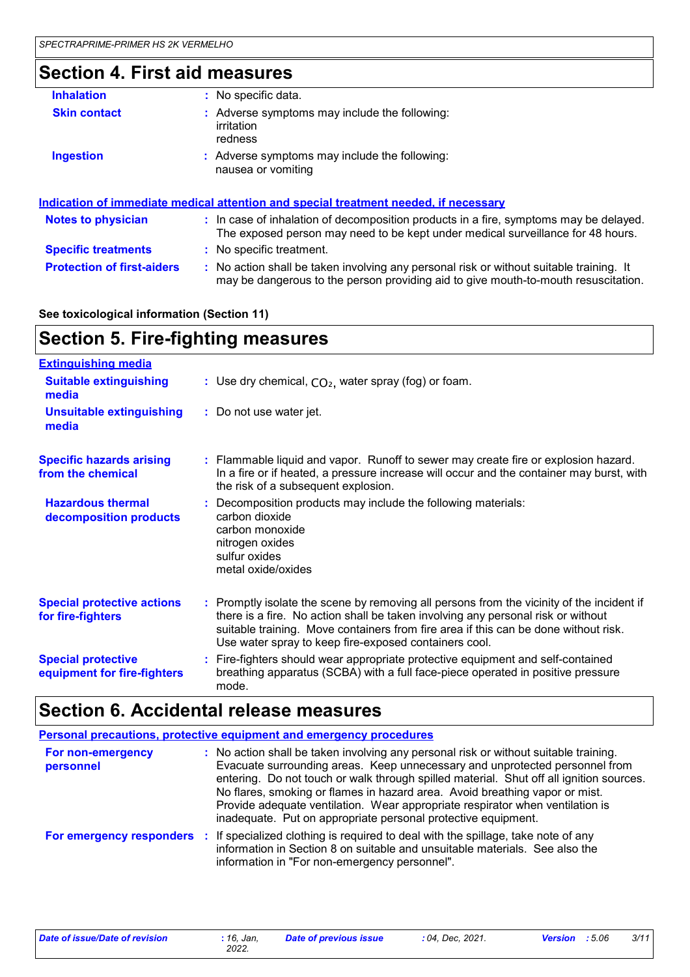### **Section 4. First aid measures**

| <b>Inhalation</b>                 | : No specific data.                                                                                                                                                           |
|-----------------------------------|-------------------------------------------------------------------------------------------------------------------------------------------------------------------------------|
| <b>Skin contact</b>               | : Adverse symptoms may include the following:<br>irritation<br>redness                                                                                                        |
| <b>Ingestion</b>                  | : Adverse symptoms may include the following:<br>nausea or vomiting                                                                                                           |
|                                   | <u>Indication of immediate medical attention and special treatment needed, if necessary</u>                                                                                   |
| <b>Notes to physician</b>         | : In case of inhalation of decomposition products in a fire, symptoms may be delayed.<br>The exposed person may need to be kept under medical surveillance for 48 hours.      |
| <b>Specific treatments</b>        | : No specific treatment.                                                                                                                                                      |
| <b>Protection of first-aiders</b> | : No action shall be taken involving any personal risk or without suitable training. It<br>may be dangerous to the person providing aid to give mouth-to-mouth resuscitation. |

### **See toxicological information (Section 11)**

# **Section 5. Fire-fighting measures**

| <b>Extinguishing media</b>                               |                                                                                                                                                                                                                                                                                                                               |
|----------------------------------------------------------|-------------------------------------------------------------------------------------------------------------------------------------------------------------------------------------------------------------------------------------------------------------------------------------------------------------------------------|
| <b>Suitable extinguishing</b><br>media                   | : Use dry chemical, $CO2$ , water spray (fog) or foam.                                                                                                                                                                                                                                                                        |
| <b>Unsuitable extinguishing</b><br>media                 | : Do not use water jet.                                                                                                                                                                                                                                                                                                       |
| <b>Specific hazards arising</b><br>from the chemical     | : Flammable liquid and vapor. Runoff to sewer may create fire or explosion hazard.<br>In a fire or if heated, a pressure increase will occur and the container may burst, with<br>the risk of a subsequent explosion.                                                                                                         |
| <b>Hazardous thermal</b><br>decomposition products       | : Decomposition products may include the following materials:<br>carbon dioxide<br>carbon monoxide<br>nitrogen oxides<br>sulfur oxides<br>metal oxide/oxides                                                                                                                                                                  |
| <b>Special protective actions</b><br>for fire-fighters   | : Promptly isolate the scene by removing all persons from the vicinity of the incident if<br>there is a fire. No action shall be taken involving any personal risk or without<br>suitable training. Move containers from fire area if this can be done without risk.<br>Use water spray to keep fire-exposed containers cool. |
| <b>Special protective</b><br>equipment for fire-fighters | : Fire-fighters should wear appropriate protective equipment and self-contained<br>breathing apparatus (SCBA) with a full face-piece operated in positive pressure<br>mode.                                                                                                                                                   |

# **Section 6. Accidental release measures**

|                                | <b>Personal precautions, protective equipment and emergency procedures</b>                                                                                                                                                                                                                                                                                                                                                                                                                      |
|--------------------------------|-------------------------------------------------------------------------------------------------------------------------------------------------------------------------------------------------------------------------------------------------------------------------------------------------------------------------------------------------------------------------------------------------------------------------------------------------------------------------------------------------|
| For non-emergency<br>personnel | : No action shall be taken involving any personal risk or without suitable training.<br>Evacuate surrounding areas. Keep unnecessary and unprotected personnel from<br>entering. Do not touch or walk through spilled material. Shut off all ignition sources.<br>No flares, smoking or flames in hazard area. Avoid breathing vapor or mist.<br>Provide adequate ventilation. Wear appropriate respirator when ventilation is<br>inadequate. Put on appropriate personal protective equipment. |
|                                | For emergency responders : If specialized clothing is required to deal with the spillage, take note of any<br>information in Section 8 on suitable and unsuitable materials. See also the<br>information in "For non-emergency personnel".                                                                                                                                                                                                                                                      |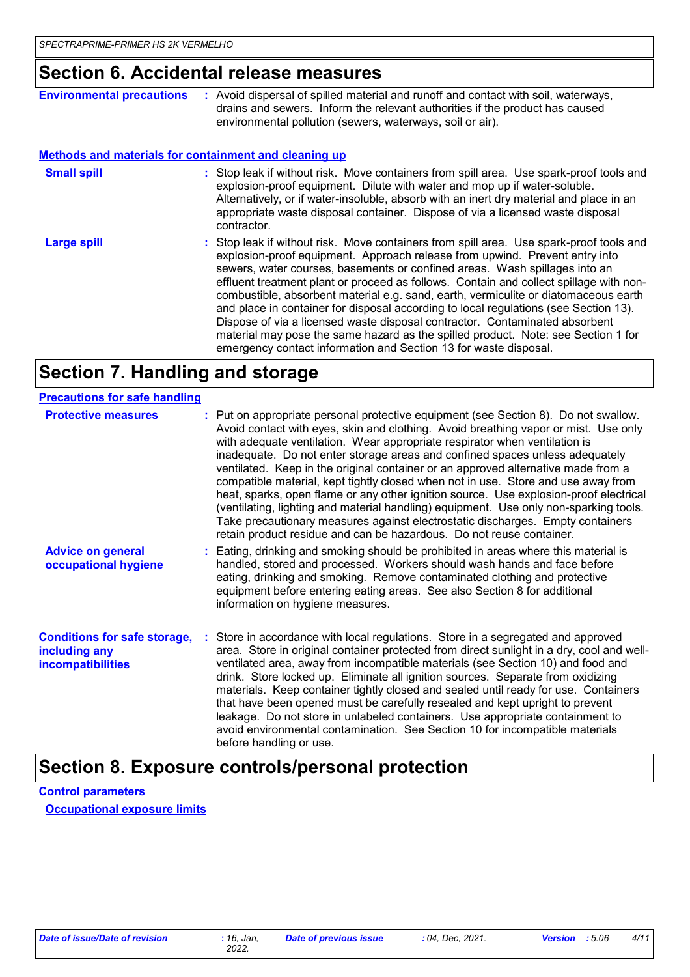### **Section 6. Accidental release measures**

| <b>Environmental precautions</b> | : Avoid dispersal of spilled material and runoff and contact with soil, waterways,<br>drains and sewers. Inform the relevant authorities if the product has caused<br>environmental pollution (sewers, waterways, soil or air).                                                                                                                                                                                                                                                                                                                                                                                                                                                                                                                                       |
|----------------------------------|-----------------------------------------------------------------------------------------------------------------------------------------------------------------------------------------------------------------------------------------------------------------------------------------------------------------------------------------------------------------------------------------------------------------------------------------------------------------------------------------------------------------------------------------------------------------------------------------------------------------------------------------------------------------------------------------------------------------------------------------------------------------------|
|                                  | <b>Methods and materials for containment and cleaning up</b>                                                                                                                                                                                                                                                                                                                                                                                                                                                                                                                                                                                                                                                                                                          |
| <b>Small spill</b>               | : Stop leak if without risk. Move containers from spill area. Use spark-proof tools and<br>explosion-proof equipment. Dilute with water and mop up if water-soluble.<br>Alternatively, or if water-insoluble, absorb with an inert dry material and place in an<br>appropriate waste disposal container. Dispose of via a licensed waste disposal<br>contractor.                                                                                                                                                                                                                                                                                                                                                                                                      |
| <b>Large spill</b>               | : Stop leak if without risk. Move containers from spill area. Use spark-proof tools and<br>explosion-proof equipment. Approach release from upwind. Prevent entry into<br>sewers, water courses, basements or confined areas. Wash spillages into an<br>effluent treatment plant or proceed as follows. Contain and collect spillage with non-<br>combustible, absorbent material e.g. sand, earth, vermiculite or diatomaceous earth<br>and place in container for disposal according to local regulations (see Section 13).<br>Dispose of via a licensed waste disposal contractor. Contaminated absorbent<br>material may pose the same hazard as the spilled product. Note: see Section 1 for<br>emergency contact information and Section 13 for waste disposal. |

## **Section 7. Handling and storage**

| <b>Precautions for safe handling</b>                                             |                                                                                                                                                                                                                                                                                                                                                                                                                                                                                                                                                                                                                                                                                                                                                                                                                                                                |
|----------------------------------------------------------------------------------|----------------------------------------------------------------------------------------------------------------------------------------------------------------------------------------------------------------------------------------------------------------------------------------------------------------------------------------------------------------------------------------------------------------------------------------------------------------------------------------------------------------------------------------------------------------------------------------------------------------------------------------------------------------------------------------------------------------------------------------------------------------------------------------------------------------------------------------------------------------|
| <b>Protective measures</b>                                                       | : Put on appropriate personal protective equipment (see Section 8). Do not swallow.<br>Avoid contact with eyes, skin and clothing. Avoid breathing vapor or mist. Use only<br>with adequate ventilation. Wear appropriate respirator when ventilation is<br>inadequate. Do not enter storage areas and confined spaces unless adequately<br>ventilated. Keep in the original container or an approved alternative made from a<br>compatible material, kept tightly closed when not in use. Store and use away from<br>heat, sparks, open flame or any other ignition source. Use explosion-proof electrical<br>(ventilating, lighting and material handling) equipment. Use only non-sparking tools.<br>Take precautionary measures against electrostatic discharges. Empty containers<br>retain product residue and can be hazardous. Do not reuse container. |
| <b>Advice on general</b><br>occupational hygiene                                 | : Eating, drinking and smoking should be prohibited in areas where this material is<br>handled, stored and processed. Workers should wash hands and face before<br>eating, drinking and smoking. Remove contaminated clothing and protective<br>equipment before entering eating areas. See also Section 8 for additional<br>information on hygiene measures.                                                                                                                                                                                                                                                                                                                                                                                                                                                                                                  |
| <b>Conditions for safe storage,</b><br>including any<br><b>incompatibilities</b> | : Store in accordance with local regulations. Store in a segregated and approved<br>area. Store in original container protected from direct sunlight in a dry, cool and well-<br>ventilated area, away from incompatible materials (see Section 10) and food and<br>drink. Store locked up. Eliminate all ignition sources. Separate from oxidizing<br>materials. Keep container tightly closed and sealed until ready for use. Containers<br>that have been opened must be carefully resealed and kept upright to prevent<br>leakage. Do not store in unlabeled containers. Use appropriate containment to<br>avoid environmental contamination. See Section 10 for incompatible materials<br>before handling or use.                                                                                                                                         |

### **Section 8. Exposure controls/personal protection**

**Control parameters Occupational exposure limits**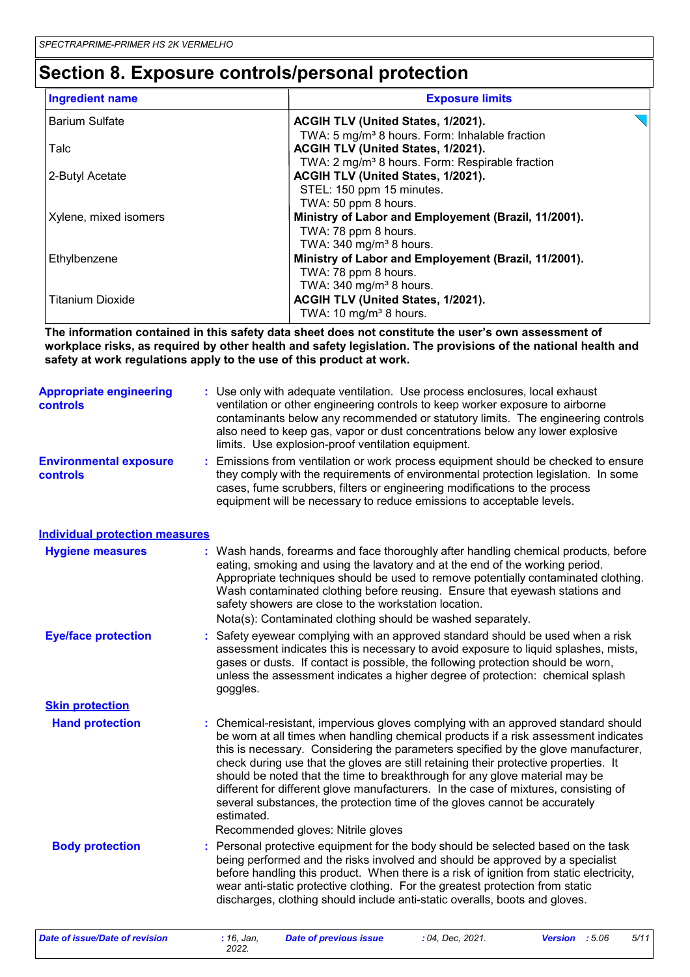### **Section 8. Exposure controls/personal protection**

| <b>Ingredient name</b>  | <b>Exposure limits</b>                                                                                                                                          |
|-------------------------|-----------------------------------------------------------------------------------------------------------------------------------------------------------------|
| <b>Barium Sulfate</b>   | ACGIH TLV (United States, 1/2021).                                                                                                                              |
| Talc                    | TWA: 5 mg/m <sup>3</sup> 8 hours. Form: Inhalable fraction<br>ACGIH TLV (United States, 1/2021).<br>TWA: 2 mg/m <sup>3</sup> 8 hours. Form: Respirable fraction |
| 2-Butyl Acetate         | ACGIH TLV (United States, 1/2021).<br>STEL: 150 ppm 15 minutes.                                                                                                 |
| Xylene, mixed isomers   | TWA: 50 ppm 8 hours.<br>Ministry of Labor and Employement (Brazil, 11/2001).<br>TWA: 78 ppm 8 hours.                                                            |
| Ethylbenzene            | TWA: 340 mg/m <sup>3</sup> 8 hours.<br>Ministry of Labor and Employement (Brazil, 11/2001).<br>TWA: 78 ppm 8 hours.                                             |
| <b>Titanium Dioxide</b> | TWA: 340 mg/m <sup>3</sup> 8 hours.<br>ACGIH TLV (United States, 1/2021).<br>TWA: 10 mg/m <sup>3</sup> 8 hours.                                                 |

**The information contained in this safety data sheet does not constitute the user's own assessment of workplace risks, as required by other health and safety legislation. The provisions of the national health and safety at work regulations apply to the use of this product at work.**

| <b>Appropriate engineering</b><br><b>controls</b> | : Use only with adequate ventilation. Use process enclosures, local exhaust<br>ventilation or other engineering controls to keep worker exposure to airborne<br>contaminants below any recommended or statutory limits. The engineering controls<br>also need to keep gas, vapor or dust concentrations below any lower explosive<br>limits. Use explosion-proof ventilation equipment. |
|---------------------------------------------------|-----------------------------------------------------------------------------------------------------------------------------------------------------------------------------------------------------------------------------------------------------------------------------------------------------------------------------------------------------------------------------------------|
| <b>Environmental exposure</b><br><b>controls</b>  | : Emissions from ventilation or work process equipment should be checked to ensure<br>they comply with the requirements of environmental protection legislation. In some<br>cases, fume scrubbers, filters or engineering modifications to the process<br>equipment will be necessary to reduce emissions to acceptable levels.                                                         |

#### **Individual protection measures**

| <b>Hygiene measures</b>    | : Wash hands, forearms and face thoroughly after handling chemical products, before<br>eating, smoking and using the lavatory and at the end of the working period.<br>Appropriate techniques should be used to remove potentially contaminated clothing.<br>Wash contaminated clothing before reusing. Ensure that eyewash stations and<br>safety showers are close to the workstation location.<br>Nota(s): Contaminated clothing should be washed separately.                                                                                                                                                          |
|----------------------------|---------------------------------------------------------------------------------------------------------------------------------------------------------------------------------------------------------------------------------------------------------------------------------------------------------------------------------------------------------------------------------------------------------------------------------------------------------------------------------------------------------------------------------------------------------------------------------------------------------------------------|
| <b>Eye/face protection</b> | : Safety eyewear complying with an approved standard should be used when a risk<br>assessment indicates this is necessary to avoid exposure to liquid splashes, mists,<br>gases or dusts. If contact is possible, the following protection should be worn,<br>unless the assessment indicates a higher degree of protection: chemical splash<br>goggles.                                                                                                                                                                                                                                                                  |
| <b>Skin protection</b>     |                                                                                                                                                                                                                                                                                                                                                                                                                                                                                                                                                                                                                           |
| <b>Hand protection</b>     | : Chemical-resistant, impervious gloves complying with an approved standard should<br>be worn at all times when handling chemical products if a risk assessment indicates<br>this is necessary. Considering the parameters specified by the glove manufacturer,<br>check during use that the gloves are still retaining their protective properties. It<br>should be noted that the time to breakthrough for any glove material may be<br>different for different glove manufacturers. In the case of mixtures, consisting of<br>several substances, the protection time of the gloves cannot be accurately<br>estimated. |
|                            | Recommended gloves: Nitrile gloves                                                                                                                                                                                                                                                                                                                                                                                                                                                                                                                                                                                        |
| <b>Body protection</b>     | : Personal protective equipment for the body should be selected based on the task<br>being performed and the risks involved and should be approved by a specialist<br>before handling this product. When there is a risk of ignition from static electricity,<br>wear anti-static protective clothing. For the greatest protection from static<br>discharges, clothing should include anti-static overalls, boots and gloves.                                                                                                                                                                                             |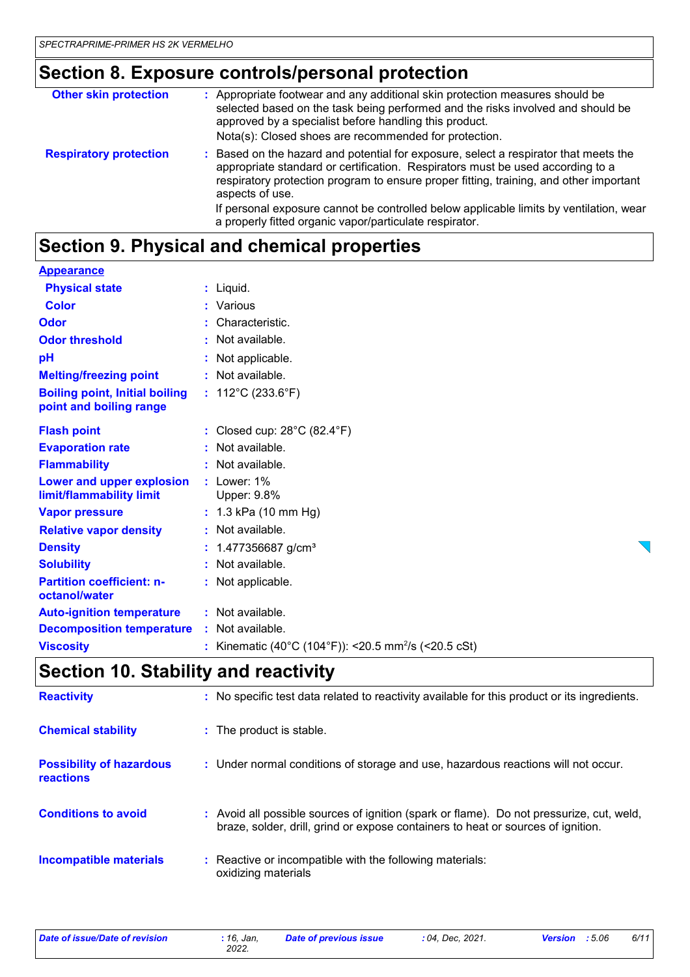### **Section 8. Exposure controls/personal protection**

| : Appropriate footwear and any additional skin protection measures should be<br>selected based on the task being performed and the risks involved and should be<br>approved by a specialist before handling this product.<br>Nota(s): Closed shoes are recommended for protection.     |
|----------------------------------------------------------------------------------------------------------------------------------------------------------------------------------------------------------------------------------------------------------------------------------------|
| Based on the hazard and potential for exposure, select a respirator that meets the<br>÷<br>appropriate standard or certification. Respirators must be used according to a<br>respiratory protection program to ensure proper fitting, training, and other important<br>aspects of use. |
| If personal exposure cannot be controlled below applicable limits by ventilation, wear<br>a properly fitted organic vapor/particulate respirator.                                                                                                                                      |
|                                                                                                                                                                                                                                                                                        |

### **Section 9. Physical and chemical properties**

| <b>Appearance</b>                                                                                                                                                                                                                                                                                                                                                                    |                                                                  |
|--------------------------------------------------------------------------------------------------------------------------------------------------------------------------------------------------------------------------------------------------------------------------------------------------------------------------------------------------------------------------------------|------------------------------------------------------------------|
| <b>Physical state</b>                                                                                                                                                                                                                                                                                                                                                                | $:$ Liquid.                                                      |
| <b>Color</b>                                                                                                                                                                                                                                                                                                                                                                         | : Various                                                        |
| Odor                                                                                                                                                                                                                                                                                                                                                                                 | Characteristic.                                                  |
| <b>Odor threshold</b>                                                                                                                                                                                                                                                                                                                                                                | : Not available.                                                 |
| pH                                                                                                                                                                                                                                                                                                                                                                                   | Not applicable.                                                  |
| <b>Melting/freezing point</b>                                                                                                                                                                                                                                                                                                                                                        | : Not available.                                                 |
| <b>Boiling point, Initial boiling</b><br>point and boiling range                                                                                                                                                                                                                                                                                                                     | : $112^{\circ}$ C (233.6 $^{\circ}$ F)                           |
| <b>Flash point</b>                                                                                                                                                                                                                                                                                                                                                                   | : Closed cup: $28^{\circ}$ C (82.4 $^{\circ}$ F)                 |
| <b>Evaporation rate</b>                                                                                                                                                                                                                                                                                                                                                              | : Not available.                                                 |
| <b>Flammability</b>                                                                                                                                                                                                                                                                                                                                                                  | : Not available.                                                 |
| Lower and upper explosion<br>limit/flammability limit                                                                                                                                                                                                                                                                                                                                | $:$ Lower: $1\%$<br>Upper: 9.8%                                  |
| <b>Vapor pressure</b>                                                                                                                                                                                                                                                                                                                                                                | $: 1.3$ kPa (10 mm Hg)                                           |
| <b>Relative vapor density</b>                                                                                                                                                                                                                                                                                                                                                        | : Not available.                                                 |
| <b>Density</b>                                                                                                                                                                                                                                                                                                                                                                       | 1.477356687 g/cm <sup>3</sup>                                    |
| <b>Solubility</b>                                                                                                                                                                                                                                                                                                                                                                    | : Not available.                                                 |
| <b>Partition coefficient: n-</b><br>octanol/water                                                                                                                                                                                                                                                                                                                                    | : Not applicable.                                                |
| <b>Auto-ignition temperature</b>                                                                                                                                                                                                                                                                                                                                                     | : Not available.                                                 |
| <b>Decomposition temperature</b>                                                                                                                                                                                                                                                                                                                                                     | : Not available.                                                 |
| <b>Viscosity</b>                                                                                                                                                                                                                                                                                                                                                                     | : Kinematic (40°C (104°F)): <20.5 mm <sup>2</sup> /s (<20.5 cSt) |
| $\overline{1}$ $\overline{2}$ $\overline{3}$ $\overline{4}$ $\overline{1}$ $\overline{1}$ $\overline{1}$ $\overline{1}$ $\overline{1}$ $\overline{1}$ $\overline{1}$ $\overline{1}$ $\overline{1}$ $\overline{1}$ $\overline{1}$ $\overline{1}$ $\overline{1}$ $\overline{1}$ $\overline{1}$ $\overline{1}$ $\overline{1}$ $\overline{1}$ $\overline{1}$ $\overline{1}$ $\overline{$ |                                                                  |

### **Section 10. Stability and reactivity**

| <b>Reactivity</b>                            | : No specific test data related to reactivity available for this product or its ingredients.                                                                                 |
|----------------------------------------------|------------------------------------------------------------------------------------------------------------------------------------------------------------------------------|
| <b>Chemical stability</b>                    | : The product is stable.                                                                                                                                                     |
| <b>Possibility of hazardous</b><br>reactions | : Under normal conditions of storage and use, hazardous reactions will not occur.                                                                                            |
| <b>Conditions to avoid</b>                   | : Avoid all possible sources of ignition (spark or flame). Do not pressurize, cut, weld,<br>braze, solder, drill, grind or expose containers to heat or sources of ignition. |
| <b>Incompatible materials</b>                | : Reactive or incompatible with the following materials:<br>oxidizing materials                                                                                              |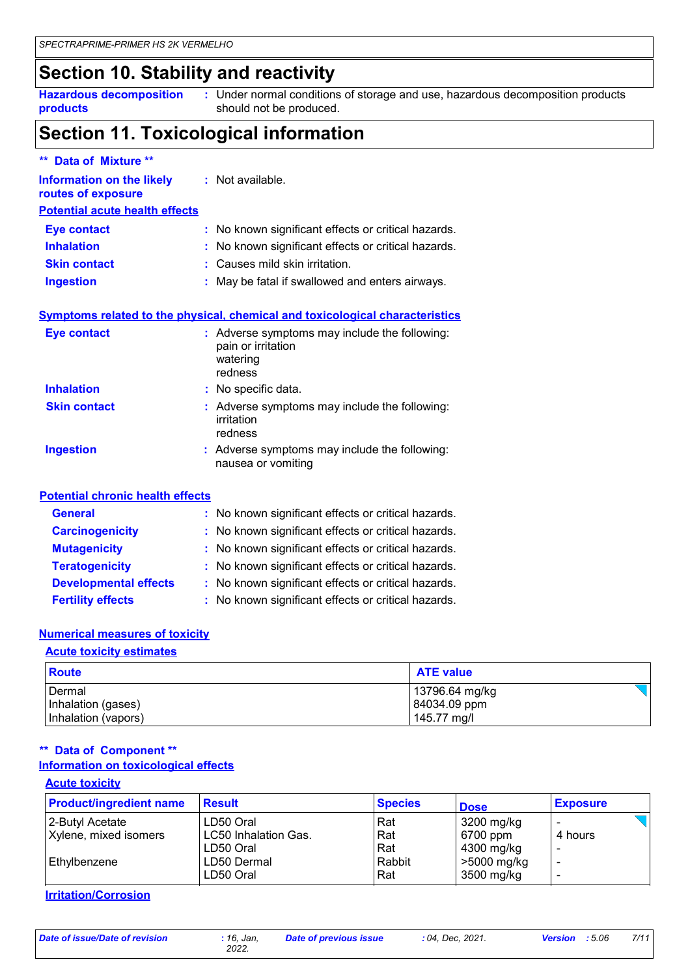### **Section 10. Stability and reactivity**

**Hazardous decomposition products** Under normal conditions of storage and use, hazardous decomposition products **:** should not be produced.

### **Section 11. Toxicological information**

| ** Data of Mixture **                                                                    |                                                                                            |
|------------------------------------------------------------------------------------------|--------------------------------------------------------------------------------------------|
| Information on the likely<br>routes of exposure<br><b>Potential acute health effects</b> | : Not available.                                                                           |
| <b>Eye contact</b>                                                                       | : No known significant effects or critical hazards.                                        |
| <b>Inhalation</b>                                                                        | No known significant effects or critical hazards.                                          |
| <b>Skin contact</b>                                                                      | : Causes mild skin irritation.                                                             |
| <b>Ingestion</b>                                                                         | May be fatal if swallowed and enters airways.                                              |
|                                                                                          | <b>Symptoms related to the physical, chemical and toxicological characteristics</b>        |
| <b>Eye contact</b>                                                                       | : Adverse symptoms may include the following:<br>pain or irritation<br>watering<br>redness |
| <b>Inhalation</b>                                                                        | : No specific data.                                                                        |
| <b>Skin contact</b>                                                                      | : Adverse symptoms may include the following:<br>irritation<br>redness                     |
| <b>Ingestion</b>                                                                         | : Adverse symptoms may include the following:<br>nausea or vomiting                        |
| <b>Potential chronic health effects</b>                                                  |                                                                                            |
| <b>General</b>                                                                           | : No known significant effects or critical hazards.                                        |

| <b>Carcinogenicity</b>       | : No known significant effects or critical hazards. |
|------------------------------|-----------------------------------------------------|
| <b>Mutagenicity</b>          | : No known significant effects or critical hazards. |
| <b>Teratogenicity</b>        | : No known significant effects or critical hazards. |
| <b>Developmental effects</b> | : No known significant effects or critical hazards. |
| <b>Fertility effects</b>     | : No known significant effects or critical hazards. |

#### **Numerical measures of toxicity**

#### **Acute toxicity estimates**

| <b>Route</b>                                        | <b>ATE value</b>                              |  |
|-----------------------------------------------------|-----------------------------------------------|--|
| Dermal<br>Inhalation (gases)<br>Inhalation (vapors) | 13796.64 mg/kg<br>84034.09 ppm<br>145.77 mg/l |  |

#### **Information on toxicological effects \*\* Data of Component \*\***

| <b>Product/ingredient name</b> | <b>Result</b>        | <b>Species</b> | <b>Dose</b> | <b>Exposure</b> |
|--------------------------------|----------------------|----------------|-------------|-----------------|
| 2-Butyl Acetate                | LD50 Oral            | Rat            | 3200 mg/kg  |                 |
| Xylene, mixed isomers          | LC50 Inhalation Gas. | Rat            | 6700 ppm    | 4 hours         |
|                                | LD50 Oral            | Rat            | 4300 mg/kg  |                 |
| Ethylbenzene                   | LD50 Dermal          | Rabbit         | >5000 mg/kg |                 |
|                                | LD50 Oral            | Rat            | 3500 mg/kg  |                 |

**Irritation/Corrosion**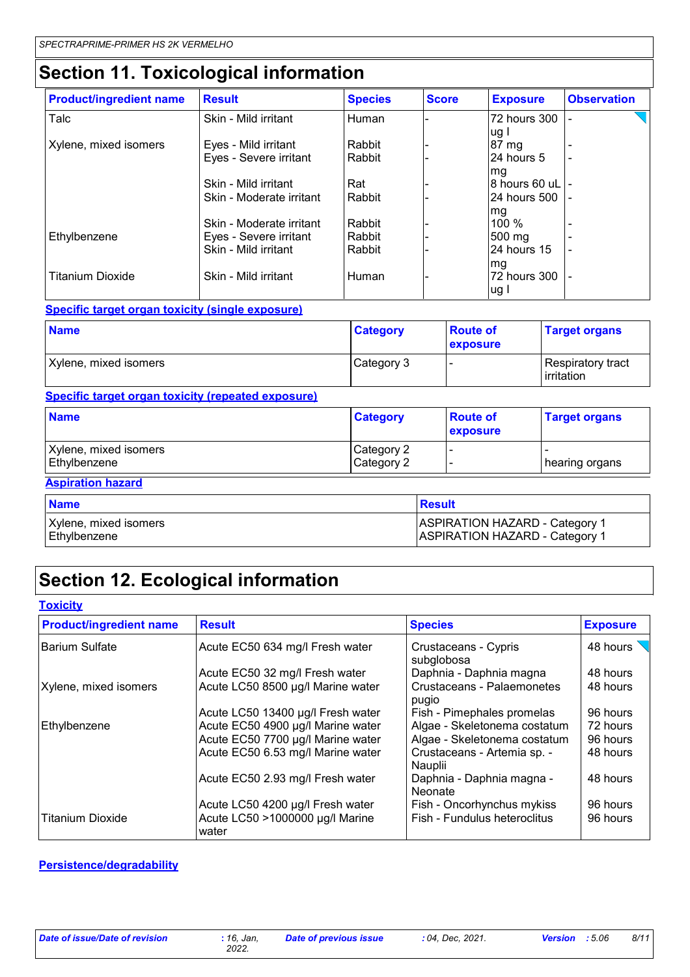# **Section 11. Toxicological information**

| <b>Product/ingredient name</b> | <b>Result</b>            | <b>Species</b> | <b>Score</b> | <b>Exposure</b>   | <b>Observation</b>       |
|--------------------------------|--------------------------|----------------|--------------|-------------------|--------------------------|
| Talc                           | Skin - Mild irritant     | Human          |              | 72 hours 300      |                          |
|                                |                          |                |              | ug l              |                          |
| Xylene, mixed isomers          | Eyes - Mild irritant     | Rabbit         |              | 87 mg             |                          |
|                                | Eyes - Severe irritant   | Rabbit         |              | l24 hours 5       |                          |
|                                |                          |                |              | mg                |                          |
|                                | Skin - Mild irritant     | Rat            |              | 8 hours 60 uL -   |                          |
|                                | Skin - Moderate irritant | Rabbit         |              | I24 hours 500 I - |                          |
|                                |                          |                |              | mg                |                          |
|                                | Skin - Moderate irritant | Rabbit         |              | $100\%$           |                          |
| Ethylbenzene                   | Eyes - Severe irritant   | Rabbit         |              | 500 mg            |                          |
|                                | Skin - Mild irritant     | Rabbit         |              | 24 hours 15       | $\overline{\phantom{a}}$ |
|                                |                          |                |              | mg                |                          |
| <b>Titanium Dioxide</b>        | Skin - Mild irritant     | Human          |              | 72 hours 300      |                          |
|                                |                          |                |              | ug                |                          |

#### **Specific target organ toxicity (single exposure)**

| <b>Name</b>           | <b>Category</b> | <b>Route of</b><br><b>exposure</b> | <b>Target organs</b>                     |
|-----------------------|-----------------|------------------------------------|------------------------------------------|
| Xylene, mixed isomers | Category 3      |                                    | Respiratory tract<br><b>l</b> irritation |

#### **Specific target organ toxicity (repeated exposure)**

| <b>Name</b>                           | <b>Category</b>          | <b>Route of</b><br>exposure | <b>Target organs</b> |
|---------------------------------------|--------------------------|-----------------------------|----------------------|
| Xylene, mixed isomers<br>Ethylbenzene | Category 2<br>Category 2 | . .                         | hearing organs       |

#### **Aspiration hazard**

| <b>Name</b>           | Result                                |
|-----------------------|---------------------------------------|
| Xylene, mixed isomers | <b>ASPIRATION HAZARD - Category 1</b> |
| Ethylbenzene          | <b>ASPIRATION HAZARD - Category 1</b> |

### **Section 12. Ecological information**

| <b>Toxicity</b>                |                                          |                                        |                 |
|--------------------------------|------------------------------------------|----------------------------------------|-----------------|
| <b>Product/ingredient name</b> | <b>Result</b>                            | <b>Species</b>                         | <b>Exposure</b> |
| <b>Barium Sulfate</b>          | Acute EC50 634 mg/l Fresh water          | Crustaceans - Cypris<br>subglobosa     | 48 hours        |
|                                | Acute EC50 32 mg/l Fresh water           | Daphnia - Daphnia magna                | 48 hours        |
| Xylene, mixed isomers          | Acute LC50 8500 µg/l Marine water        | Crustaceans - Palaemonetes<br>pugio    | 48 hours        |
|                                | Acute LC50 13400 µg/l Fresh water        | Fish - Pimephales promelas             | 96 hours        |
| Ethylbenzene                   | Acute EC50 4900 µg/l Marine water        | Algae - Skeletonema costatum           | 72 hours        |
|                                | Acute EC50 7700 µg/l Marine water        | Algae - Skeletonema costatum           | 96 hours        |
|                                | Acute EC50 6.53 mg/l Marine water        | Crustaceans - Artemia sp. -<br>Nauplii | 48 hours        |
|                                | Acute EC50 2.93 mg/l Fresh water         | Daphnia - Daphnia magna -<br>Neonate   | 48 hours        |
|                                | Acute LC50 4200 µg/l Fresh water         | Fish - Oncorhynchus mykiss             | 96 hours        |
| <b>Titanium Dioxide</b>        | Acute LC50 >1000000 µg/l Marine<br>water | Fish - Fundulus heteroclitus           | 96 hours        |

#### **Persistence/degradability**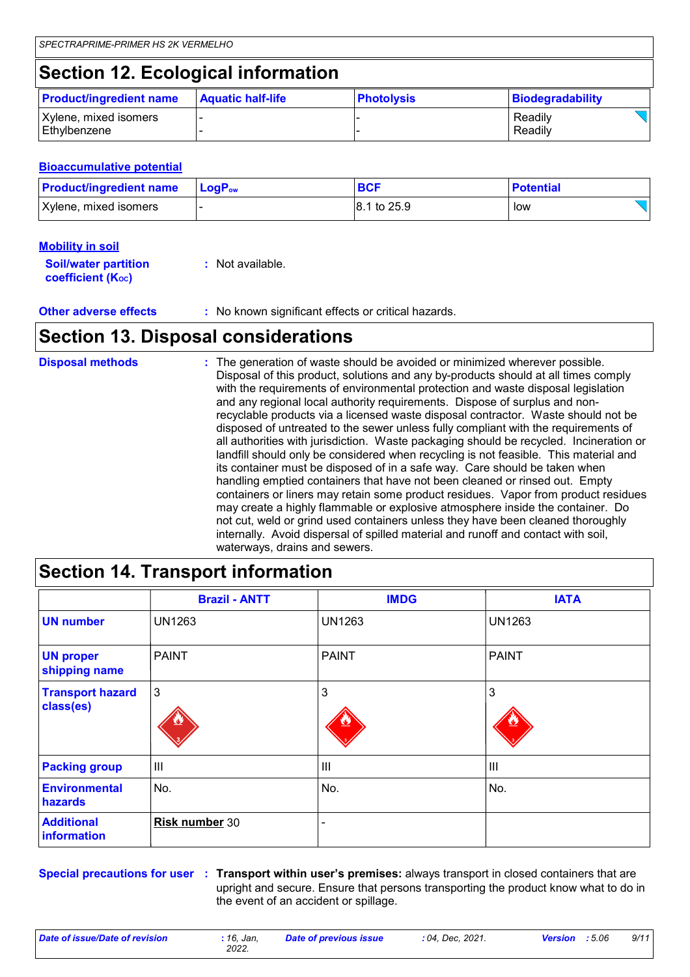### **Section 12. Ecological information**

| <b>Product/ingredient name</b>          | <b>Aquatic half-life</b> | <b>Photolysis</b> | Biodegradability   |  |
|-----------------------------------------|--------------------------|-------------------|--------------------|--|
| Xylene, mixed isomers<br>l Ethvlbenzene |                          |                   | Readily<br>Readily |  |

#### **Bioaccumulative potential**

| <b>Product/ingredient name</b> | $\mathsf{LocP}_\mathsf{ow}$ | <b>BCF</b>  | <b>Potential</b> |
|--------------------------------|-----------------------------|-------------|------------------|
| Xylene, mixed isomers          |                             | 8.1 to 25.9 | low              |

#### **Mobility in soil**

| <b>Soil/water partition</b> | : Not available. |
|-----------------------------|------------------|
| <b>coefficient (Koc)</b>    |                  |

**Other adverse effects** : No known significant effects or critical hazards.

### **Section 13. Disposal considerations**

| <b>Disposal methods</b> | : The generation of waste should be avoided or minimized wherever possible.<br>Disposal of this product, solutions and any by-products should at all times comply<br>with the requirements of environmental protection and waste disposal legislation<br>and any regional local authority requirements. Dispose of surplus and non-<br>recyclable products via a licensed waste disposal contractor. Waste should not be<br>disposed of untreated to the sewer unless fully compliant with the requirements of<br>all authorities with jurisdiction. Waste packaging should be recycled. Incineration or<br>landfill should only be considered when recycling is not feasible. This material and<br>its container must be disposed of in a safe way. Care should be taken when<br>handling emptied containers that have not been cleaned or rinsed out. Empty<br>containers or liners may retain some product residues. Vapor from product residues<br>may create a highly flammable or explosive atmosphere inside the container. Do<br>not cut, weld or grind used containers unless they have been cleaned thoroughly |
|-------------------------|--------------------------------------------------------------------------------------------------------------------------------------------------------------------------------------------------------------------------------------------------------------------------------------------------------------------------------------------------------------------------------------------------------------------------------------------------------------------------------------------------------------------------------------------------------------------------------------------------------------------------------------------------------------------------------------------------------------------------------------------------------------------------------------------------------------------------------------------------------------------------------------------------------------------------------------------------------------------------------------------------------------------------------------------------------------------------------------------------------------------------|
|                         | internally. Avoid dispersal of spilled material and runoff and contact with soil,<br>waterways, drains and sewers.                                                                                                                                                                                                                                                                                                                                                                                                                                                                                                                                                                                                                                                                                                                                                                                                                                                                                                                                                                                                       |

| <b>Section 14. Transport information</b> |                      |                |                |
|------------------------------------------|----------------------|----------------|----------------|
|                                          | <b>Brazil - ANTT</b> | <b>IMDG</b>    | <b>IATA</b>    |
| <b>UN number</b>                         | UN1263               | <b>UN1263</b>  | <b>UN1263</b>  |
| <b>UN proper</b><br>shipping name        | <b>PAINT</b>         | <b>PAINT</b>   | <b>PAINT</b>   |
| <b>Transport hazard</b><br>class(es)     | $\mathbf{3}$         | 3              | 3              |
| <b>Packing group</b>                     | III                  | $\mathbf{III}$ | $\mathbf{III}$ |
| <b>Environmental</b><br>hazards          | No.                  | No.            | No.            |
| <b>Additional</b><br>information         | Risk number 30       |                |                |

**Special precautions for user Transport within user's premises:** always transport in closed containers that are **:** upright and secure. Ensure that persons transporting the product know what to do in the event of an accident or spillage.

*Date of issue/Date of revision* **:** *16, Jan,*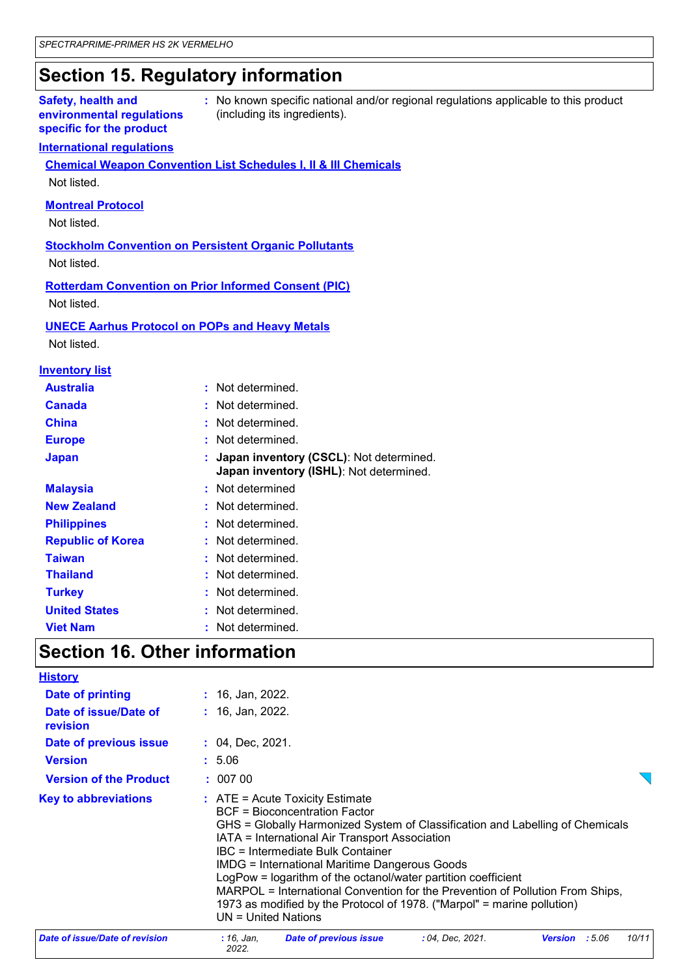### **Section 15. Regulatory information**

#### **Safety, health and environmental regulations specific for the product**

**:** No known specific national and/or regional regulations applicable to this product (including its ingredients).

#### **International regulations**

**Chemical Weapon Convention List Schedules I, II & III Chemicals** Not listed.

#### **Montreal Protocol**

Not listed.

**Stockholm Convention on Persistent Organic Pollutants** Not listed.

#### **Rotterdam Convention on Prior Informed Consent (PIC)** Not listed.

**UNECE Aarhus Protocol on POPs and Heavy Metals**

Not listed.

#### **Inventory list**

| <b>Australia</b>         | : Not determined.                                                                    |
|--------------------------|--------------------------------------------------------------------------------------|
| <b>Canada</b>            | : Not determined.                                                                    |
| <b>China</b>             | : Not determined.                                                                    |
| <b>Europe</b>            | : Not determined.                                                                    |
| <b>Japan</b>             | : Japan inventory (CSCL): Not determined.<br>Japan inventory (ISHL): Not determined. |
| <b>Malaysia</b>          | : Not determined                                                                     |
| <b>New Zealand</b>       | : Not determined.                                                                    |
| <b>Philippines</b>       | : Not determined.                                                                    |
| <b>Republic of Korea</b> | : Not determined.                                                                    |
| <b>Taiwan</b>            | : Not determined.                                                                    |
| <b>Thailand</b>          | : Not determined.                                                                    |
| <b>Turkey</b>            | : Not determined.                                                                    |
| <b>United States</b>     | : Not determined.                                                                    |
| <b>Viet Nam</b>          | Not determined.                                                                      |

### **Section 16. Other information**

| <b>History</b>                    |                                                                                                                                                                                                                                                                                                                                                                                                                                                                                                                                                        |  |  |
|-----------------------------------|--------------------------------------------------------------------------------------------------------------------------------------------------------------------------------------------------------------------------------------------------------------------------------------------------------------------------------------------------------------------------------------------------------------------------------------------------------------------------------------------------------------------------------------------------------|--|--|
| Date of printing                  | $: 16,$ Jan, 2022.                                                                                                                                                                                                                                                                                                                                                                                                                                                                                                                                     |  |  |
| Date of issue/Date of<br>revision | : 16, Jan, 2022.                                                                                                                                                                                                                                                                                                                                                                                                                                                                                                                                       |  |  |
| Date of previous issue            | $: 04, \text{Dec}, 2021.$                                                                                                                                                                                                                                                                                                                                                                                                                                                                                                                              |  |  |
| <b>Version</b>                    | : 5.06                                                                                                                                                                                                                                                                                                                                                                                                                                                                                                                                                 |  |  |
| <b>Version of the Product</b>     | : 00700                                                                                                                                                                                                                                                                                                                                                                                                                                                                                                                                                |  |  |
| <b>Key to abbreviations</b>       | $:$ ATE = Acute Toxicity Estimate<br>BCF = Bioconcentration Factor<br>GHS = Globally Harmonized System of Classification and Labelling of Chemicals<br>IATA = International Air Transport Association<br>IBC = Intermediate Bulk Container<br><b>IMDG = International Maritime Dangerous Goods</b><br>LogPow = logarithm of the octanol/water partition coefficient<br>MARPOL = International Convention for the Prevention of Pollution From Ships,<br>1973 as modified by the Protocol of 1978. ("Marpol" = marine pollution)<br>UN = United Nations |  |  |
| Date of issue/Date of revision    | <b>Date of previous issue</b><br>: 04, Dec. 2021.<br>:5.06<br>10/11<br>: 16. Jan.<br><b>Version</b><br>2022                                                                                                                                                                                                                                                                                                                                                                                                                                            |  |  |